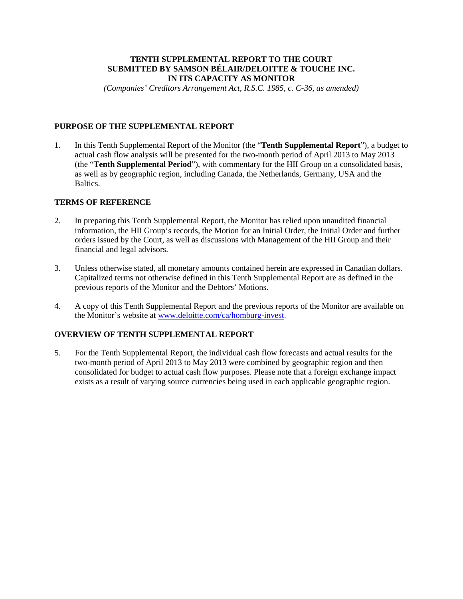### **TENTH SUPPLEMENTAL REPORT TO THE COURT SUBMITTED BY SAMSON BÉLAIR/DELOITTE & TOUCHE INC. IN ITS CAPACITY AS MONITOR**

*(Companies' Creditors Arrangement Act, R.S.C. 1985, c. C-36, as amended)*

# **PURPOSE OF THE SUPPLEMENTAL REPORT**

1. In this Tenth Supplemental Report of the Monitor (the "**Tenth Supplemental Report**"), a budget to actual cash flow analysis will be presented for the two-month period of April 2013 to May 2013 (the "**Tenth Supplemental Period**"), with commentary for the HII Group on a consolidated basis, as well as by geographic region, including Canada, the Netherlands, Germany, USA and the Baltics.

### **TERMS OF REFERENCE**

- 2. In preparing this Tenth Supplemental Report, the Monitor has relied upon unaudited financial information, the HII Group's records, the Motion for an Initial Order, the Initial Order and further orders issued by the Court, as well as discussions with Management of the HII Group and their financial and legal advisors.
- 3. Unless otherwise stated, all monetary amounts contained herein are expressed in Canadian dollars. Capitalized terms not otherwise defined in this Tenth Supplemental Report are as defined in the previous reports of the Monitor and the Debtors' Motions.
- 4. A copy of this Tenth Supplemental Report and the previous reports of the Monitor are available on the Monitor's website at [www.deloitte.com/ca/homburg-invest.](http://www.deloitte.com/ca/homburg-invest)

# **OVERVIEW OF TENTH SUPPLEMENTAL REPORT**

5. For the Tenth Supplemental Report, the individual cash flow forecasts and actual results for the two-month period of April 2013 to May 2013 were combined by geographic region and then consolidated for budget to actual cash flow purposes. Please note that a foreign exchange impact exists as a result of varying source currencies being used in each applicable geographic region.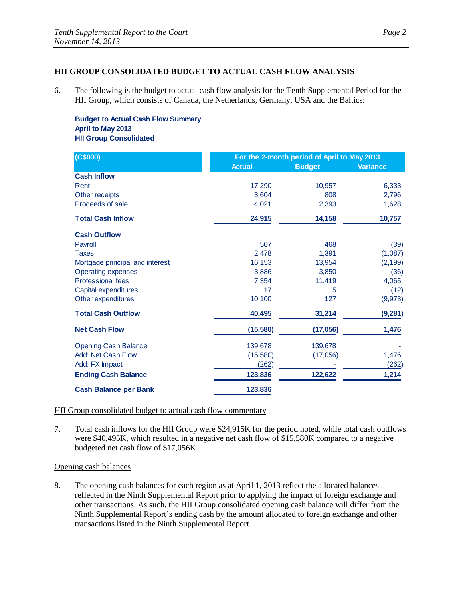## **HII GROUP CONSOLIDATED BUDGET TO ACTUAL CASH FLOW ANALYSIS**

6. The following is the budget to actual cash flow analysis for the Tenth Supplemental Period for the HII Group, which consists of Canada, the Netherlands, Germany, USA and the Baltics:

**Budget to Actual Cash Flow Summary April to May 2013 HII Group Consolidated**

| (C\$000)                        | For the 2-month period of April to May 2013 |               |                 |
|---------------------------------|---------------------------------------------|---------------|-----------------|
|                                 | <b>Actual</b>                               | <b>Budget</b> | <b>Variance</b> |
| <b>Cash Inflow</b>              |                                             |               |                 |
| Rent                            | 17,290                                      | 10,957        | 6,333           |
| Other receipts                  | 3.604                                       | 808           | 2,796           |
| Proceeds of sale                | 4,021                                       | 2,393         | 1,628           |
| <b>Total Cash Inflow</b>        | 24,915                                      | 14,158        | 10,757          |
| <b>Cash Outflow</b>             |                                             |               |                 |
| Payroll                         | 507                                         | 468           | (39)            |
| <b>Taxes</b>                    | 2,478                                       | 1,391         | (1,087)         |
| Mortgage principal and interest | 16,153                                      | 13,954        | (2, 199)        |
| <b>Operating expenses</b>       | 3,886                                       | 3,850         | (36)            |
| <b>Professional fees</b>        | 7,354                                       | 11,419        | 4,065           |
| Capital expenditures            | 17                                          | 5             | (12)            |
| Other expenditures              | 10,100                                      | 127           | (9, 973)        |
| <b>Total Cash Outflow</b>       | 40,495                                      | 31,214        | (9, 281)        |
| <b>Net Cash Flow</b>            | (15, 580)                                   | (17,056)      | 1,476           |
| <b>Opening Cash Balance</b>     | 139,678                                     | 139,678       |                 |
| Add: Net Cash Flow              | (15,580)                                    | (17,056)      | 1,476           |
| Add: FX Impact                  | (262)                                       |               | (262)           |
| <b>Ending Cash Balance</b>      | 123,836                                     | 122,622       | 1,214           |
| <b>Cash Balance per Bank</b>    | 123,836                                     |               |                 |

### HII Group consolidated budget to actual cash flow commentary

7. Total cash inflows for the HII Group were \$24,915K for the period noted, while total cash outflows were \$40,495K, which resulted in a negative net cash flow of \$15,580K compared to a negative budgeted net cash flow of \$17,056K.

# Opening cash balances

8. The opening cash balances for each region as at April 1, 2013 reflect the allocated balances reflected in the Ninth Supplemental Report prior to applying the impact of foreign exchange and other transactions. As such, the HII Group consolidated opening cash balance will differ from the Ninth Supplemental Report's ending cash by the amount allocated to foreign exchange and other transactions listed in the Ninth Supplemental Report.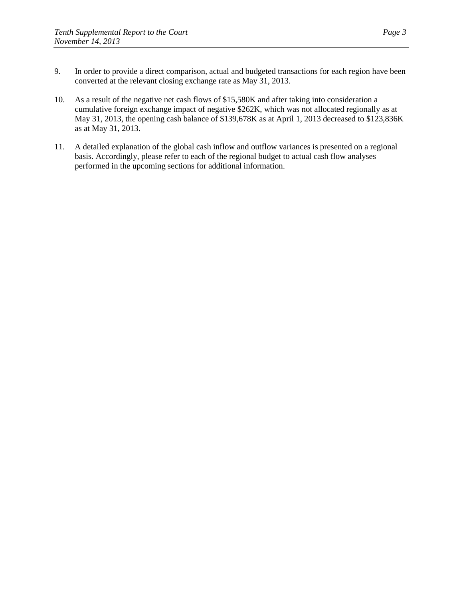- 9. In order to provide a direct comparison, actual and budgeted transactions for each region have been converted at the relevant closing exchange rate as May 31, 2013.
- 10. As a result of the negative net cash flows of \$15,580K and after taking into consideration a cumulative foreign exchange impact of negative \$262K, which was not allocated regionally as at May 31, 2013, the opening cash balance of \$139,678K as at April 1, 2013 decreased to \$123,836K as at May 31, 2013.
- 11. A detailed explanation of the global cash inflow and outflow variances is presented on a regional basis. Accordingly, please refer to each of the regional budget to actual cash flow analyses performed in the upcoming sections for additional information.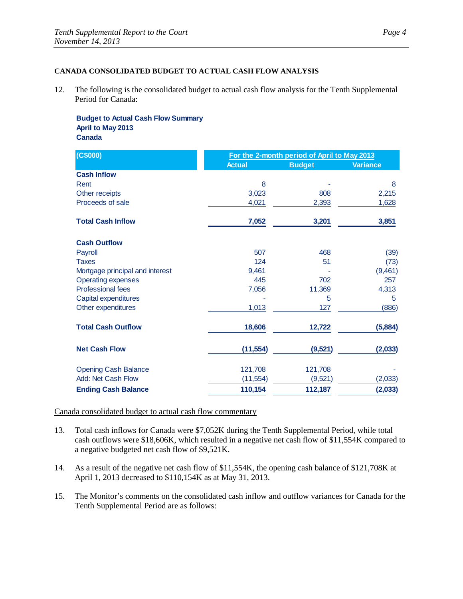#### **CANADA CONSOLIDATED BUDGET TO ACTUAL CASH FLOW ANALYSIS**

12. The following is the consolidated budget to actual cash flow analysis for the Tenth Supplemental Period for Canada:

**Budget to Actual Cash Flow Summary April to May 2013 Canada**

| (C\$000)                        | For the 2-month period of April to May 2013 |               |                 |
|---------------------------------|---------------------------------------------|---------------|-----------------|
|                                 | <b>Actual</b>                               | <b>Budget</b> | <b>Variance</b> |
| <b>Cash Inflow</b>              |                                             |               |                 |
| Rent                            | 8                                           |               | 8               |
| Other receipts                  | 3,023                                       | 808           | 2,215           |
| Proceeds of sale                | 4,021                                       | 2,393         | 1,628           |
| <b>Total Cash Inflow</b>        | 7,052                                       | 3,201         | 3,851           |
| <b>Cash Outflow</b>             |                                             |               |                 |
| Payroll                         | 507                                         | 468           | (39)            |
| <b>Taxes</b>                    | 124                                         | 51            | (73)            |
| Mortgage principal and interest | 9,461                                       |               | (9,461)         |
| <b>Operating expenses</b>       | 445                                         | 702           | 257             |
| <b>Professional fees</b>        | 7,056                                       | 11,369        | 4,313           |
| Capital expenditures            |                                             | 5             | 5               |
| Other expenditures              | 1,013                                       | 127           | (886)           |
| <b>Total Cash Outflow</b>       | 18,606                                      | 12,722        | (5,884)         |
| <b>Net Cash Flow</b>            | (11, 554)                                   | (9,521)       | (2,033)         |
| <b>Opening Cash Balance</b>     | 121,708                                     | 121,708       |                 |
| Add: Net Cash Flow              | (11, 554)                                   | (9,521)       | (2,033)         |
| <b>Ending Cash Balance</b>      | 110,154                                     | 112,187       | (2,033)         |

#### Canada consolidated budget to actual cash flow commentary

- 13. Total cash inflows for Canada were \$7,052K during the Tenth Supplemental Period, while total cash outflows were \$18,606K, which resulted in a negative net cash flow of \$11,554K compared to a negative budgeted net cash flow of \$9,521K.
- 14. As a result of the negative net cash flow of \$11,554K, the opening cash balance of \$121,708K at April 1, 2013 decreased to \$110,154K as at May 31, 2013.
- 15. The Monitor's comments on the consolidated cash inflow and outflow variances for Canada for the Tenth Supplemental Period are as follows: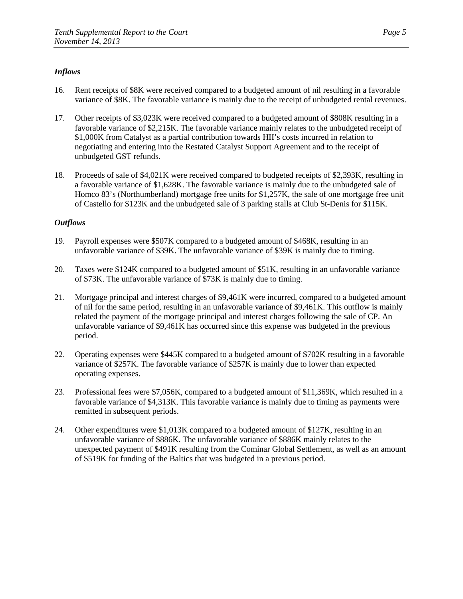- 16. Rent receipts of \$8K were received compared to a budgeted amount of nil resulting in a favorable variance of \$8K. The favorable variance is mainly due to the receipt of unbudgeted rental revenues.
- 17. Other receipts of \$3,023K were received compared to a budgeted amount of \$808K resulting in a favorable variance of \$2,215K. The favorable variance mainly relates to the unbudgeted receipt of \$1,000K from Catalyst as a partial contribution towards HII's costs incurred in relation to negotiating and entering into the Restated Catalyst Support Agreement and to the receipt of unbudgeted GST refunds.
- 18. Proceeds of sale of \$4,021K were received compared to budgeted receipts of \$2,393K, resulting in a favorable variance of \$1,628K. The favorable variance is mainly due to the unbudgeted sale of Homco 83's (Northumberland) mortgage free units for \$1,257K, the sale of one mortgage free unit of Castello for \$123K and the unbudgeted sale of 3 parking stalls at Club St-Denis for \$115K.

- 19. Payroll expenses were \$507K compared to a budgeted amount of \$468K, resulting in an unfavorable variance of \$39K. The unfavorable variance of \$39K is mainly due to timing.
- 20. Taxes were \$124K compared to a budgeted amount of \$51K, resulting in an unfavorable variance of \$73K. The unfavorable variance of \$73K is mainly due to timing.
- 21. Mortgage principal and interest charges of \$9,461K were incurred, compared to a budgeted amount of nil for the same period, resulting in an unfavorable variance of \$9,461K. This outflow is mainly related the payment of the mortgage principal and interest charges following the sale of CP. An unfavorable variance of \$9,461K has occurred since this expense was budgeted in the previous period.
- 22. Operating expenses were \$445K compared to a budgeted amount of \$702K resulting in a favorable variance of \$257K. The favorable variance of \$257K is mainly due to lower than expected operating expenses.
- 23. Professional fees were \$7,056K, compared to a budgeted amount of \$11,369K, which resulted in a favorable variance of \$4,313K. This favorable variance is mainly due to timing as payments were remitted in subsequent periods.
- 24. Other expenditures were \$1,013K compared to a budgeted amount of \$127K, resulting in an unfavorable variance of \$886K. The unfavorable variance of \$886K mainly relates to the unexpected payment of \$491K resulting from the Cominar Global Settlement, as well as an amount of \$519K for funding of the Baltics that was budgeted in a previous period.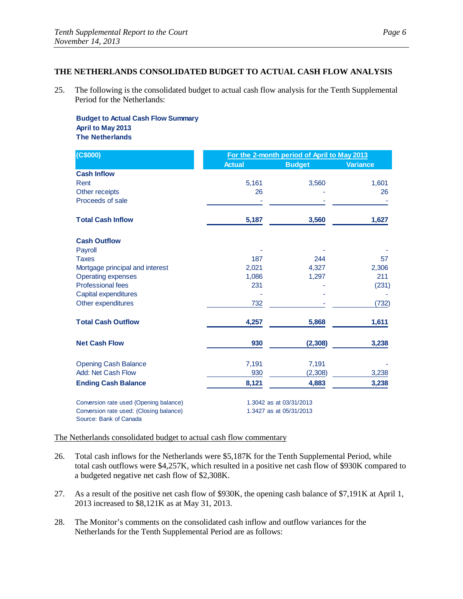# **THE NETHERLANDS CONSOLIDATED BUDGET TO ACTUAL CASH FLOW ANALYSIS**

25. The following is the consolidated budget to actual cash flow analysis for the Tenth Supplemental Period for the Netherlands:

**Budget to Actual Cash Flow Summary April to May 2013 The Netherlands**

| (C\$000)                                                          | For the 2-month period of April to May 2013 |                         |          |
|-------------------------------------------------------------------|---------------------------------------------|-------------------------|----------|
|                                                                   | <b>Actual</b>                               | <b>Budget</b>           | Variance |
| <b>Cash Inflow</b>                                                |                                             |                         |          |
| Rent                                                              | 5,161                                       | 3,560                   | 1,601    |
| Other receipts                                                    | 26                                          |                         | 26       |
| Proceeds of sale                                                  |                                             |                         |          |
| <b>Total Cash Inflow</b>                                          | 5,187                                       | 3,560                   | 1,627    |
| <b>Cash Outflow</b>                                               |                                             |                         |          |
| Payroll                                                           |                                             |                         |          |
| Taxes                                                             | 187                                         | 244                     | 57       |
| Mortgage principal and interest                                   | 2,021                                       | 4,327                   | 2,306    |
| <b>Operating expenses</b>                                         | 1,086                                       | 1,297                   | 211      |
| <b>Professional fees</b>                                          | 231                                         |                         | (231)    |
| Capital expenditures                                              |                                             |                         |          |
| Other expenditures                                                | 732                                         |                         | (732)    |
| <b>Total Cash Outflow</b>                                         | 4,257                                       | 5,868                   | 1,611    |
| <b>Net Cash Flow</b>                                              | 930                                         | (2, 308)                | 3,238    |
| <b>Opening Cash Balance</b>                                       | 7,191                                       | 7,191                   |          |
| Add: Net Cash Flow                                                | 930                                         | (2,308)                 | 3,238    |
| <b>Ending Cash Balance</b>                                        | 8,121                                       | 4,883                   | 3,238    |
| Conversion rate used (Opening balance)                            | 1.3042 as at 03/31/2013                     |                         |          |
| Conversion rate used: (Closing balance)<br>Source: Bank of Canada |                                             | 1.3427 as at 05/31/2013 |          |

#### The Netherlands consolidated budget to actual cash flow commentary

- 26. Total cash inflows for the Netherlands were \$5,187K for the Tenth Supplemental Period, while total cash outflows were \$4,257K, which resulted in a positive net cash flow of \$930K compared to a budgeted negative net cash flow of \$2,308K.
- 27. As a result of the positive net cash flow of \$930K, the opening cash balance of \$7,191K at April 1, 2013 increased to \$8,121K as at May 31, 2013.
- 28. The Monitor's comments on the consolidated cash inflow and outflow variances for the Netherlands for the Tenth Supplemental Period are as follows: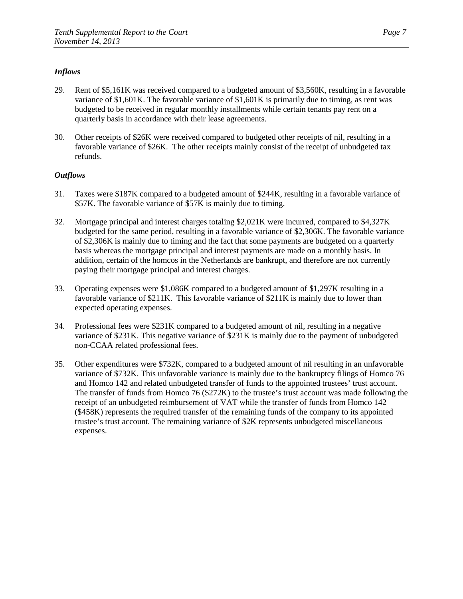- 29. Rent of \$5,161K was received compared to a budgeted amount of \$3,560K, resulting in a favorable variance of \$1,601K. The favorable variance of \$1,601K is primarily due to timing, as rent was budgeted to be received in regular monthly installments while certain tenants pay rent on a quarterly basis in accordance with their lease agreements.
- 30. Other receipts of \$26K were received compared to budgeted other receipts of nil, resulting in a favorable variance of \$26K. The other receipts mainly consist of the receipt of unbudgeted tax refunds.

- 31. Taxes were \$187K compared to a budgeted amount of \$244K, resulting in a favorable variance of \$57K. The favorable variance of \$57K is mainly due to timing.
- 32. Mortgage principal and interest charges totaling \$2,021K were incurred, compared to \$4,327K budgeted for the same period, resulting in a favorable variance of \$2,306K. The favorable variance of \$2,306K is mainly due to timing and the fact that some payments are budgeted on a quarterly basis whereas the mortgage principal and interest payments are made on a monthly basis. In addition, certain of the homcos in the Netherlands are bankrupt, and therefore are not currently paying their mortgage principal and interest charges.
- 33. Operating expenses were \$1,086K compared to a budgeted amount of \$1,297K resulting in a favorable variance of \$211K. This favorable variance of \$211K is mainly due to lower than expected operating expenses.
- 34. Professional fees were \$231K compared to a budgeted amount of nil, resulting in a negative variance of \$231K. This negative variance of \$231K is mainly due to the payment of unbudgeted non-CCAA related professional fees.
- 35. Other expenditures were \$732K, compared to a budgeted amount of nil resulting in an unfavorable variance of \$732K. This unfavorable variance is mainly due to the bankruptcy filings of Homco 76 and Homco 142 and related unbudgeted transfer of funds to the appointed trustees' trust account. The transfer of funds from Homco 76 (\$272K) to the trustee's trust account was made following the receipt of an unbudgeted reimbursement of VAT while the transfer of funds from Homco 142 (\$458K) represents the required transfer of the remaining funds of the company to its appointed trustee's trust account. The remaining variance of \$2K represents unbudgeted miscellaneous expenses.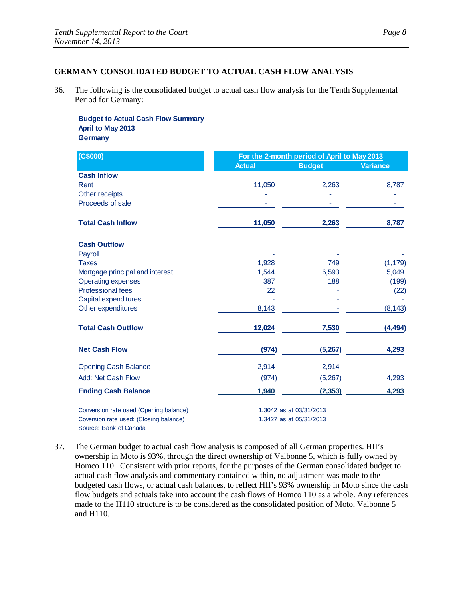### **GERMANY CONSOLIDATED BUDGET TO ACTUAL CASH FLOW ANALYSIS**

36. The following is the consolidated budget to actual cash flow analysis for the Tenth Supplemental Period for Germany:

**Budget to Actual Cash Flow Summary April to May 2013 Germany**

| (C\$000)                               | For the 2-month period of April to May 2013 |                         |                 |
|----------------------------------------|---------------------------------------------|-------------------------|-----------------|
|                                        | <b>Actual</b>                               | <b>Budget</b>           | <b>Variance</b> |
| <b>Cash Inflow</b>                     |                                             |                         |                 |
| Rent                                   | 11,050                                      | 2,263                   | 8,787           |
| Other receipts                         |                                             |                         |                 |
| Proceeds of sale                       |                                             |                         |                 |
| <b>Total Cash Inflow</b>               | 11,050                                      | 2,263                   | 8,787           |
| <b>Cash Outflow</b>                    |                                             |                         |                 |
| Payroll                                |                                             |                         |                 |
| <b>Taxes</b>                           | 1,928                                       | 749                     | (1, 179)        |
| Mortgage principal and interest        | 1,544                                       | 6,593                   | 5,049           |
| <b>Operating expenses</b>              | 387                                         | 188                     | (199)           |
| <b>Professional fees</b>               | 22                                          |                         | (22)            |
| Capital expenditures                   |                                             |                         |                 |
| Other expenditures                     | 8,143                                       |                         | (8, 143)        |
| <b>Total Cash Outflow</b>              | 12,024                                      | 7,530                   | (4, 494)        |
| <b>Net Cash Flow</b>                   | (974)                                       | (5,267)                 | 4,293           |
| <b>Opening Cash Balance</b>            | 2,914                                       | 2,914                   |                 |
| Add: Net Cash Flow                     | (974)                                       | (5,267)                 | 4,293           |
| <b>Ending Cash Balance</b>             | 1,940                                       | (2, 353)                | 4,293           |
| Conversion rate used (Opening balance) |                                             | 1.3042 as at 03/31/2013 |                 |
| Coversion rate used: (Closing balance) |                                             | 1.3427 as at 05/31/2013 |                 |
| Source: Bank of Canada                 |                                             |                         |                 |

37. The German budget to actual cash flow analysis is composed of all German properties. HII's ownership in Moto is 93%, through the direct ownership of Valbonne 5, which is fully owned by Homco 110. Consistent with prior reports, for the purposes of the German consolidated budget to actual cash flow analysis and commentary contained within, no adjustment was made to the budgeted cash flows, or actual cash balances, to reflect HII's 93% ownership in Moto since the cash flow budgets and actuals take into account the cash flows of Homco 110 as a whole. Any references made to the H110 structure is to be considered as the consolidated position of Moto, Valbonne 5 and H110.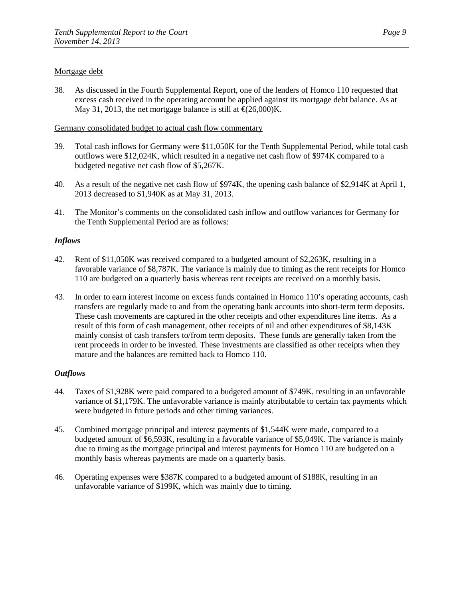### Mortgage debt

38. As discussed in the Fourth Supplemental Report, one of the lenders of Homco 110 requested that excess cash received in the operating account be applied against its mortgage debt balance. As at May 31, 2013, the net mortgage balance is still at  $\epsilon$ (26,000)K.

#### Germany consolidated budget to actual cash flow commentary

- 39. Total cash inflows for Germany were \$11,050K for the Tenth Supplemental Period, while total cash outflows were \$12,024K, which resulted in a negative net cash flow of \$974K compared to a budgeted negative net cash flow of \$5,267K.
- 40. As a result of the negative net cash flow of \$974K, the opening cash balance of \$2,914K at April 1, 2013 decreased to \$1,940K as at May 31, 2013.
- 41. The Monitor's comments on the consolidated cash inflow and outflow variances for Germany for the Tenth Supplemental Period are as follows:

### *Inflows*

- 42. Rent of \$11,050K was received compared to a budgeted amount of \$2,263K, resulting in a favorable variance of \$8,787K. The variance is mainly due to timing as the rent receipts for Homco 110 are budgeted on a quarterly basis whereas rent receipts are received on a monthly basis.
- 43. In order to earn interest income on excess funds contained in Homco 110's operating accounts, cash transfers are regularly made to and from the operating bank accounts into short-term term deposits. These cash movements are captured in the other receipts and other expenditures line items. As a result of this form of cash management, other receipts of nil and other expenditures of \$8,143K mainly consist of cash transfers to/from term deposits. These funds are generally taken from the rent proceeds in order to be invested. These investments are classified as other receipts when they mature and the balances are remitted back to Homco 110.

- 44. Taxes of \$1,928K were paid compared to a budgeted amount of \$749K, resulting in an unfavorable variance of \$1,179K. The unfavorable variance is mainly attributable to certain tax payments which were budgeted in future periods and other timing variances.
- 45. Combined mortgage principal and interest payments of \$1,544K were made, compared to a budgeted amount of \$6,593K, resulting in a favorable variance of \$5,049K. The variance is mainly due to timing as the mortgage principal and interest payments for Homco 110 are budgeted on a monthly basis whereas payments are made on a quarterly basis.
- 46. Operating expenses were \$387K compared to a budgeted amount of \$188K, resulting in an unfavorable variance of \$199K, which was mainly due to timing.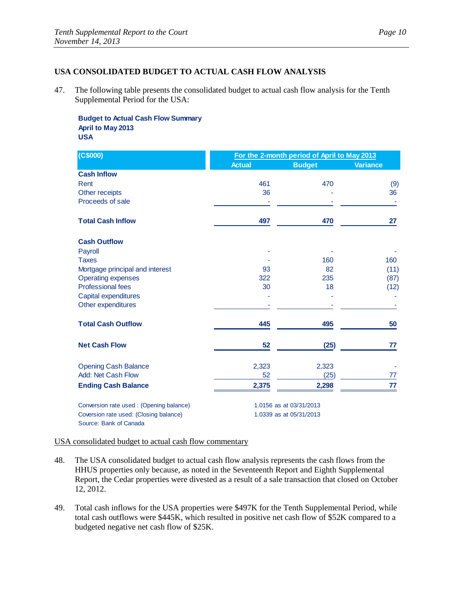### **USA CONSOLIDATED BUDGET TO ACTUAL CASH FLOW ANALYSIS**

47. The following table presents the consolidated budget to actual cash flow analysis for the Tenth Supplemental Period for the USA:

**Budget to Actual Cash Flow Summary April to May 2013 USA**

| (C\$000)                                 | For the 2-month period of April to May 2013 |                         |                 |
|------------------------------------------|---------------------------------------------|-------------------------|-----------------|
|                                          | <b>Actual</b>                               | <b>Budget</b>           | <b>Variance</b> |
| <b>Cash Inflow</b>                       |                                             |                         |                 |
| Rent                                     | 461                                         | 470                     | (9)             |
| Other receipts                           | 36                                          |                         | 36              |
| Proceeds of sale                         |                                             |                         |                 |
| <b>Total Cash Inflow</b>                 | 497                                         | 470                     | 27              |
| <b>Cash Outflow</b>                      |                                             |                         |                 |
| Payroll                                  |                                             |                         |                 |
| <b>Taxes</b>                             |                                             | 160                     | 160             |
| Mortgage principal and interest          | 93                                          | 82                      | (11)            |
| <b>Operating expenses</b>                | 322                                         | 235                     | (87)            |
| <b>Professional fees</b>                 | 30                                          | 18                      | (12)            |
| Capital expenditures                     |                                             |                         |                 |
| Other expenditures                       |                                             |                         |                 |
| <b>Total Cash Outflow</b>                | 445                                         | 495                     | 50              |
| <b>Net Cash Flow</b>                     | 52                                          | (25)                    | 77              |
| <b>Opening Cash Balance</b>              | 2,323                                       | 2,323                   |                 |
| Add: Net Cash Flow                       | 52                                          | (25)                    | 77              |
| <b>Ending Cash Balance</b>               | 2,375                                       | 2,298                   | 77              |
| Conversion rate used : (Opening balance) | 1.0156 as at 03/31/2013                     |                         |                 |
| Coversion rate used: (Closing balance)   |                                             | 1.0339 as at 05/31/2013 |                 |
| Source: Bank of Canada                   |                                             |                         |                 |

USA consolidated budget to actual cash flow commentary

- 48. The USA consolidated budget to actual cash flow analysis represents the cash flows from the HHUS properties only because, as noted in the Seventeenth Report and Eighth Supplemental Report, the Cedar properties were divested as a result of a sale transaction that closed on October 12, 2012.
- 49. Total cash inflows for the USA properties were \$497K for the Tenth Supplemental Period, while total cash outflows were \$445K, which resulted in positive net cash flow of \$52K compared to a budgeted negative net cash flow of \$25K.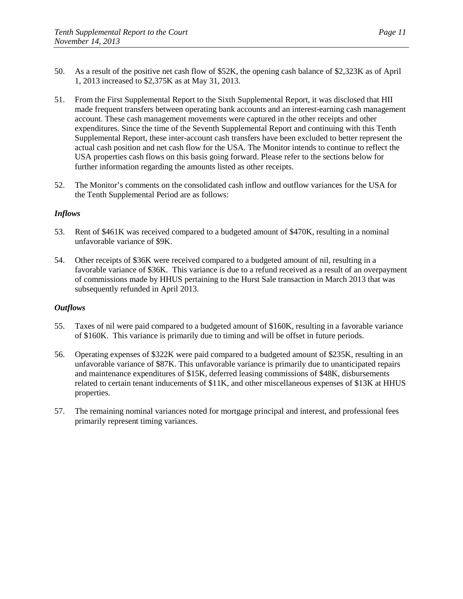- 50. As a result of the positive net cash flow of \$52K, the opening cash balance of \$2,323K as of April 1, 2013 increased to \$2,375K as at May 31, 2013.
- 51. From the First Supplemental Report to the Sixth Supplemental Report, it was disclosed that HII made frequent transfers between operating bank accounts and an interest-earning cash management account. These cash management movements were captured in the other receipts and other expenditures. Since the time of the Seventh Supplemental Report and continuing with this Tenth Supplemental Report, these inter-account cash transfers have been excluded to better represent the actual cash position and net cash flow for the USA. The Monitor intends to continue to reflect the USA properties cash flows on this basis going forward. Please refer to the sections below for further information regarding the amounts listed as other receipts.
- 52. The Monitor's comments on the consolidated cash inflow and outflow variances for the USA for the Tenth Supplemental Period are as follows:

- 53. Rent of \$461K was received compared to a budgeted amount of \$470K, resulting in a nominal unfavorable variance of \$9K.
- 54. Other receipts of \$36K were received compared to a budgeted amount of nil, resulting in a favorable variance of \$36K. This variance is due to a refund received as a result of an overpayment of commissions made by HHUS pertaining to the Hurst Sale transaction in March 2013 that was subsequently refunded in April 2013.

- 55. Taxes of nil were paid compared to a budgeted amount of \$160K, resulting in a favorable variance of \$160K. This variance is primarily due to timing and will be offset in future periods.
- 56. Operating expenses of \$322K were paid compared to a budgeted amount of \$235K, resulting in an unfavorable variance of \$87K. This unfavorable variance is primarily due to unanticipated repairs and maintenance expenditures of \$15K, deferred leasing commissions of \$48K, disbursements related to certain tenant inducements of \$11K, and other miscellaneous expenses of \$13K at HHUS properties.
- 57. The remaining nominal variances noted for mortgage principal and interest, and professional fees primarily represent timing variances.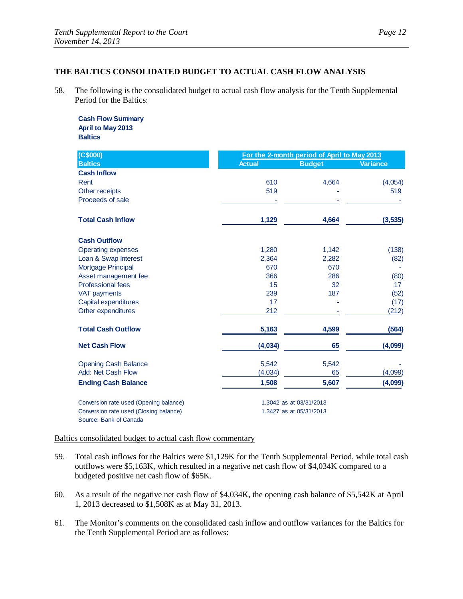# **THE BALTICS CONSOLIDATED BUDGET TO ACTUAL CASH FLOW ANALYSIS**

58. The following is the consolidated budget to actual cash flow analysis for the Tenth Supplemental Period for the Baltics:

**Cash Flow Summary April to May 2013 Baltics**

| (C\$000)                               | For the 2-month period of April to May 2013 |                         |                 |
|----------------------------------------|---------------------------------------------|-------------------------|-----------------|
| <b>Baltics</b>                         | <b>Actual</b>                               | <b>Budget</b>           | <b>Variance</b> |
| <b>Cash Inflow</b>                     |                                             |                         |                 |
| Rent                                   | 610                                         | 4,664                   | (4,054)         |
| Other receipts                         | 519                                         |                         | 519             |
| Proceeds of sale                       |                                             |                         |                 |
| <b>Total Cash Inflow</b>               | 1,129                                       | 4,664                   | (3,535)         |
| <b>Cash Outflow</b>                    |                                             |                         |                 |
| <b>Operating expenses</b>              | 1,280                                       | 1,142                   | (138)           |
| Loan & Swap Interest                   | 2,364                                       | 2,282                   | (82)            |
| Mortgage Principal                     | 670                                         | 670                     |                 |
| Asset management fee                   | 366                                         | 286                     | (80)            |
| <b>Professional fees</b>               | 15                                          | 32                      | 17              |
| <b>VAT payments</b>                    | 239                                         | 187                     | (52)            |
| Capital expenditures                   | 17                                          |                         | (17)            |
| Other expenditures                     | 212                                         |                         | (212)           |
| <b>Total Cash Outflow</b>              | 5,163                                       | 4,599                   | (564)           |
| <b>Net Cash Flow</b>                   | (4,034)                                     | 65                      | (4,099)         |
| <b>Opening Cash Balance</b>            | 5,542                                       | 5,542                   |                 |
| Add: Net Cash Flow                     | (4,034)                                     | 65                      | (4,099)         |
| <b>Ending Cash Balance</b>             | 1,508                                       | 5,607                   | (4,099)         |
| Conversion rate used (Opening balance) |                                             | 1.3042 as at 03/31/2013 |                 |
| Conversion rate used (Closing balance) |                                             | 1.3427 as at 05/31/2013 |                 |
| Source: Bank of Canada                 |                                             |                         |                 |

Baltics consolidated budget to actual cash flow commentary

- 59. Total cash inflows for the Baltics were \$1,129K for the Tenth Supplemental Period, while total cash outflows were \$5,163K, which resulted in a negative net cash flow of \$4,034K compared to a budgeted positive net cash flow of \$65K.
- 60. As a result of the negative net cash flow of \$4,034K, the opening cash balance of \$5,542K at April 1, 2013 decreased to \$1,508K as at May 31, 2013.
- 61. The Monitor's comments on the consolidated cash inflow and outflow variances for the Baltics for the Tenth Supplemental Period are as follows: